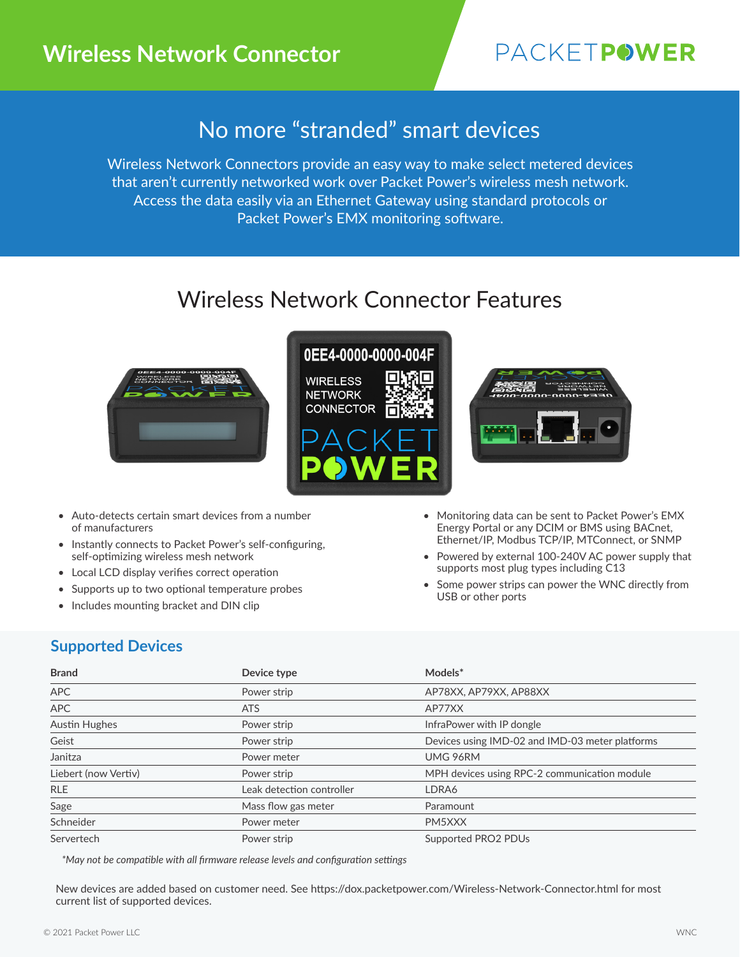## **Wireless Network Connector**

# **PACKETPOWER**

## No more "stranded" smart devices

Wireless Network Connectors provide an easy way to make select metered devices that aren't currently networked work over Packet Power's wireless mesh network. Access the data easily via an Ethernet Gateway using standard protocols or Packet Power's EMX monitoring software.

# Wireless Network Connector Features



### 0EE4-0000-0000-004F **WIRELESS NETWORK**



- Auto-detects certain smart devices from a number of manufacturers
- Instantly connects to Packet Power's self-configuring, self-optimizing wireless mesh network
- Local LCD display verifies correct operation
- Supports up to two optional temperature probes
- Includes mounting bracket and DIN clip



- Monitoring data can be sent to Packet Power's EMX Energy Portal or any DCIM or BMS using BACnet, Ethernet/IP, Modbus TCP/IP, MTConnect, or SNMP
- Powered by external 100-240V AC power supply that supports most plug types including C13
- Some power strips can power the WNC directly from USB or other ports

### **Supported Devices**

| <b>Brand</b>         | Device type               | Models*                                         |
|----------------------|---------------------------|-------------------------------------------------|
| APC                  | Power strip               | AP78XX, AP79XX, AP88XX                          |
| <b>APC</b>           | <b>ATS</b>                | AP77XX                                          |
| <b>Austin Hughes</b> | Power strip               | InfraPower with IP dongle                       |
| Geist                | Power strip               | Devices using IMD-02 and IMD-03 meter platforms |
| Janitza              | Power meter               | UMG 96RM                                        |
| Liebert (now Vertiv) | Power strip               | MPH devices using RPC-2 communication module    |
| <b>RLE</b>           | Leak detection controller | LDRA6                                           |
| Sage                 | Mass flow gas meter       | Paramount                                       |
| Schneider            | Power meter               | PM5XXX                                          |
| Servertech           | Power strip               | Supported PRO2 PDUs                             |

*\*May not be compatible with all firmware release levels and configuration settings*

New devices are added based on customer need. See https://dox.packetpower.com/Wireless-Network-Connector.html for most current list of supported devices.